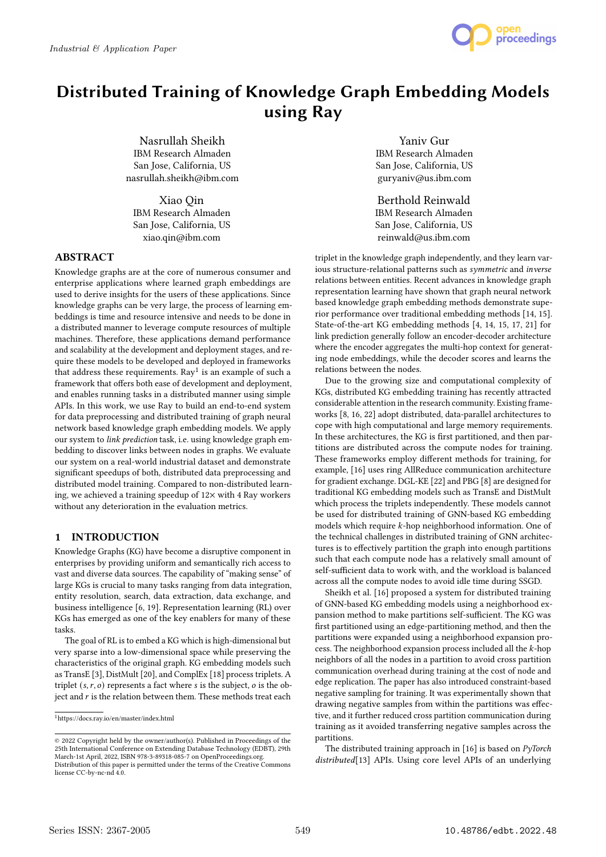

# Distributed Training of Knowledge Graph Embedding Models using Ray

Nasrullah Sheikh IBM Research Almaden San Jose, California, US nasrullah.sheikh@ibm.com

Xiao Qin IBM Research Almaden San Jose, California, US xiao.qin@ibm.com

# ABSTRACT

Knowledge graphs are at the core of numerous consumer and enterprise applications where learned graph embeddings are used to derive insights for the users of these applications. Since knowledge graphs can be very large, the process of learning embeddings is time and resource intensive and needs to be done in a distributed manner to leverage compute resources of multiple machines. Therefore, these applications demand performance and scalability at the development and deployment stages, and require these models to be developed and deployed in frameworks that address these requirements.  ${\rm Ray}^1$  is an example of such a framework that offers both ease of development and deployment, and enables running tasks in a distributed manner using simple APIs. In this work, we use Ray to build an end-to-end system for data preprocessing and distributed training of graph neural network based knowledge graph embedding models. We apply our system to link prediction task, i.e. using knowledge graph embedding to discover links between nodes in graphs. We evaluate our system on a real-world industrial dataset and demonstrate significant speedups of both, distributed data preprocessing and distributed model training. Compared to non-distributed learning, we achieved a training speedup of  $12\times$  with 4 Ray workers without any deterioration in the evaluation metrics.

# 1 INTRODUCTION

Knowledge Graphs (KG) have become a disruptive component in enterprises by providing uniform and semantically rich access to vast and diverse data sources. The capability of "making sense" of large KGs is crucial to many tasks ranging from data integration, entity resolution, search, data extraction, data exchange, and business intelligence [6, 19]. Representation learning (RL) over KGs has emerged as one of the key enablers for many of these tasks.

The goal of RL is to embed a KG which is high-dimensional but very sparse into a low-dimensional space while preserving the characteristics of the original graph. KG embedding models such as TransE [3], DistMult [20], and ComplEx [18] process triplets. A triplet  $(s, r, o)$  represents a fact where s is the subject,  $o$  is the object and  $r$  is the relation between them. These methods treat each

Yaniv Gur IBM Research Almaden San Jose, California, US guryaniv@us.ibm.com

Berthold Reinwald IBM Research Almaden San Jose, California, US reinwald@us.ibm.com

triplet in the knowledge graph independently, and they learn various structure-relational patterns such as symmetric and inverse relations between entities. Recent advances in knowledge graph representation learning have shown that graph neural network based knowledge graph embedding methods demonstrate superior performance over traditional embedding methods [14, 15]. State-of-the-art KG embedding methods [4, 14, 15, 17, 21] for link prediction generally follow an encoder-decoder architecture where the encoder aggregates the multi-hop context for generating node embeddings, while the decoder scores and learns the relations between the nodes.

Due to the growing size and computational complexity of KGs, distributed KG embedding training has recently attracted considerable attention in the research community. Existing frameworks [8, 16, 22] adopt distributed, data-parallel architectures to cope with high computational and large memory requirements. In these architectures, the KG is first partitioned, and then partitions are distributed across the compute nodes for training. These frameworks employ different methods for training, for example, [16] uses ring AllReduce communication architecture for gradient exchange. DGL-KE [22] and PBG [8] are designed for traditional KG embedding models such as TransE and DistMult which process the triplets independently. These models cannot be used for distributed training of GNN-based KG embedding models which require  $k$ -hop neighborhood information. One of the technical challenges in distributed training of GNN architectures is to effectively partition the graph into enough partitions such that each compute node has a relatively small amount of self-sufficient data to work with, and the workload is balanced across all the compute nodes to avoid idle time during SSGD.

Sheikh et al. [16] proposed a system for distributed training of GNN-based KG embedding models using a neighborhood expansion method to make partitions self-sufficient. The KG was first partitioned using an edge-partitioning method, and then the partitions were expanded using a neighborhood expansion process. The neighborhood expansion process included all the k-hop neighbors of all the nodes in a partition to avoid cross partition communication overhead during training at the cost of node and edge replication. The paper has also introduced constraint-based negative sampling for training. It was experimentally shown that drawing negative samples from within the partitions was effective, and it further reduced cross partition communication during training as it avoided transferring negative samples across the partitions.

The distributed training approach in  $[16]$  is based on  $PyTorch$ distributed<sup>[13]</sup> APIs. Using core level APIs of an underlying

 $^1$ https://docs.ray.io/en/master/index.html

<sup>©</sup> 2022 Copyright held by the owner/author(s). Published in Proceedings of the 25th International Conference on Extending Database Technology (EDBT), 29th March-1st April, 2022, ISBN 978-3-89318-085-7 on OpenProceedings.org. Distribution of this paper is permitted under the terms of the Creative Commons license CC-by-nc-nd 4.0.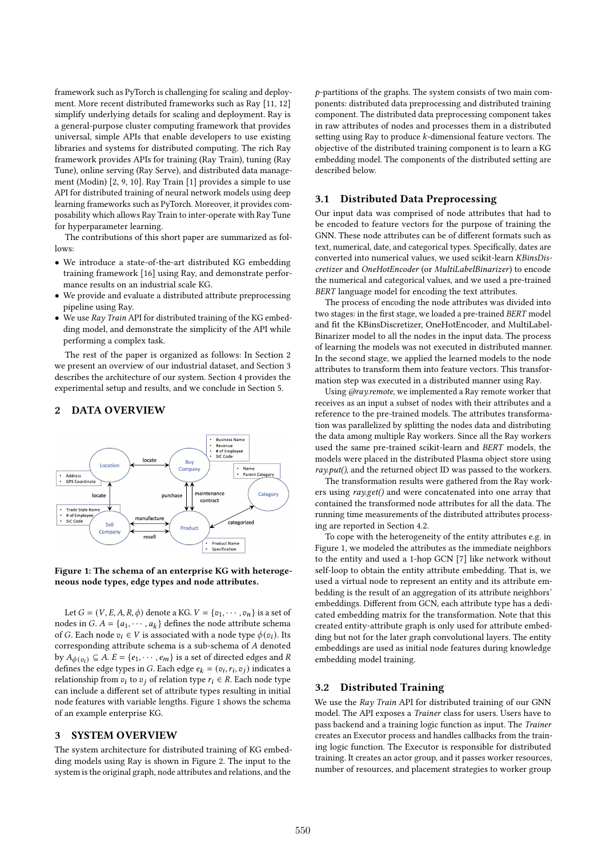framework such as PyTorch is challenging for scaling and deployment. More recent distributed frameworks such as Ray [11, 12] simplify underlying details for scaling and deployment. Ray is a general-purpose cluster computing framework that provides universal, simple APIs that enable developers to use existing libraries and systems for distributed computing. The rich Ray framework provides APIs for training (Ray Train), tuning (Ray Tune), online serving (Ray Serve), and distributed data management (Modin) [2, 9, 10]. Ray Train [1] provides a simple to use API for distributed training of neural network models using deep learning frameworks such as PyTorch. Moreover, it provides composability which allows Ray Train to inter-operate with Ray Tune for hyperparameter learning.

The contributions of this short paper are summarized as follows:

- We introduce a state-of-the-art distributed KG embedding training framework [16] using Ray, and demonstrate performance results on an industrial scale KG.
- We provide and evaluate a distributed attribute preprocessing pipeline using Ray.
- We use Ray Train API for distributed training of the KG embedding model, and demonstrate the simplicity of the API while performing a complex task.

The rest of the paper is organized as follows: In Section 2 we present an overview of our industrial dataset, and Section 3 describes the architecture of our system. Section 4 provides the experimental setup and results, and we conclude in Section 5.

#### 2 DATA OVERVIEW



Figure 1: The schema of an enterprise KG with heterogeneous node types, edge types and node attributes.

Let  $G = (V, E, A, R, \phi)$  denote a KG.  $V = \{v_1, \dots, v_n\}$  is a set of nodes in  $G$ .  $A = \{a_1, \dots, a_k\}$  defines the node attribute schema of G. Each node  $v_i \in V$  is associated with a node type  $\phi(v_i)$ . Its corresponding attribute schema is a sub-schema of A denoted by  $A_{\phi(v_i)} \subseteq A$ .  $E = \{e_1, \dots, e_m\}$  is a set of directed edges and R defines the edge types in G. Each edge  $e_k = (v_i, r_i, v_j)$  indicates a relationship from  $v_i$  to  $v_j$  of relation type  $r_i \in R$ . Each node type can include a different set of attribute types resulting in initial node features with variable lengths. Figure 1 shows the schema of an example enterprise KG.

#### 3 SYSTEM OVERVIEW

The system architecture for distributed training of KG embedding models using Ray is shown in Figure 2. The input to the system is the original graph, node attributes and relations, and the

 $p$ -partitions of the graphs. The system consists of two main components: distributed data preprocessing and distributed training component. The distributed data preprocessing component takes in raw attributes of nodes and processes them in a distributed setting using Ray to produce  $k$ -dimensional feature vectors. The objective of the distributed training component is to learn a KG embedding model. The components of the distributed setting are described below.

#### 3.1 Distributed Data Preprocessing

Our input data was comprised of node attributes that had to be encoded to feature vectors for the purpose of training the GNN. These node attributes can be of different formats such as text, numerical, date, and categorical types. Specifically, dates are converted into numerical values, we used scikit-learn KBinsDiscretizer and OneHotEncoder (or MultiLabelBinarizer) to encode the numerical and categorical values, and we used a pre-trained BERT language model for encoding the text attributes.

The process of encoding the node attributes was divided into two stages: in the first stage, we loaded a pre-trained BERT model and fit the KBinsDiscretizer, OneHotEncoder, and MultiLabel-Binarizer model to all the nodes in the input data. The process of learning the models was not executed in distributed manner. In the second stage, we applied the learned models to the node attributes to transform them into feature vectors. This transformation step was executed in a distributed manner using Ray.

Using @ray.remote, we implemented a Ray remote worker that receives as an input a subset of nodes with their attributes and a reference to the pre-trained models. The attributes transformation was parallelized by splitting the nodes data and distributing the data among multiple Ray workers. Since all the Ray workers used the same pre-trained scikit-learn and BERT models, the models were placed in the distributed Plasma object store using ray.put(), and the returned object ID was passed to the workers.

The transformation results were gathered from the Ray workers using ray.get() and were concatenated into one array that contained the transformed node attributes for all the data. The running time measurements of the distributed attributes processing are reported in Section 4.2.

To cope with the heterogeneity of the entity attributes e.g. in Figure 1, we modeled the attributes as the immediate neighbors to the entity and used a 1-hop GCN [7] like network without self-loop to obtain the entity attribute embedding. That is, we used a virtual node to represent an entity and its attribute embedding is the result of an aggregation of its attribute neighbors' embeddings. Different from GCN, each attribute type has a dedicated embedding matrix for the transformation. Note that this created entity-attribute graph is only used for attribute embedding but not for the later graph convolutional layers. The entity embeddings are used as initial node features during knowledge embedding model training.

#### 3.2 Distributed Training

We use the Ray Train API for distributed training of our GNN model. The API exposes a Trainer class for users. Users have to pass backend and a training logic function as input. The Trainer creates an Executor process and handles callbacks from the training logic function. The Executor is responsible for distributed training. It creates an actor group, and it passes worker resources, number of resources, and placement strategies to worker group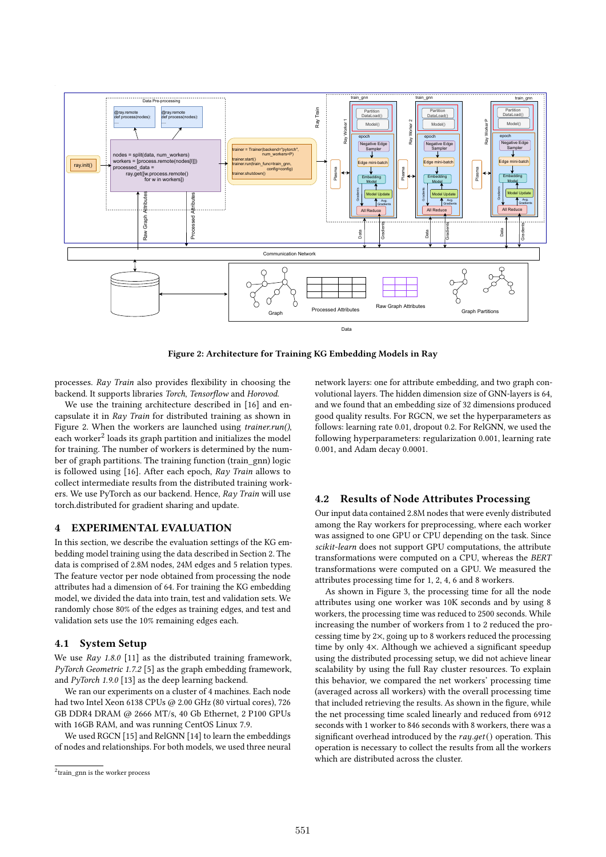

Figure 2: Architecture for Training KG Embedding Models in Ray

processes. Ray Train also provides flexibility in choosing the backend. It supports libraries Torch, Tensorflow and Horovod.

We use the training architecture described in [16] and encapsulate it in Ray Train for distributed training as shown in Figure 2. When the workers are launched using trainer.run(), each worker<sup>2</sup> loads its graph partition and initializes the model for training. The number of workers is determined by the number of graph partitions. The training function (train\_gnn) logic is followed using [16]. After each epoch, Ray Train allows to collect intermediate results from the distributed training workers. We use PyTorch as our backend. Hence, Ray Train will use torch.distributed for gradient sharing and update.

#### 4 EXPERIMENTAL EVALUATION

In this section, we describe the evaluation settings of the KG embedding model training using the data described in Section 2. The data is comprised of 2.8M nodes, 24M edges and 5 relation types. The feature vector per node obtained from processing the node attributes had a dimension of 64. For training the KG embedding model, we divided the data into train, test and validation sets. We randomly chose 80% of the edges as training edges, and test and validation sets use the 10% remaining edges each.

#### 4.1 System Setup

We use  $Ray\ 1.8.0\ [11]$  as the distributed training framework, PyTorch Geometric 1.7.2 [5] as the graph embedding framework, and PyTorch 1.9.0 [13] as the deep learning backend.

We ran our experiments on a cluster of 4 machines. Each node had two Intel Xeon 6138 CPUs @ 2.00 GHz (80 virtual cores), 726 GB DDR4 DRAM @ 2666 MT/s, 40 Gb Ethernet, 2 P100 GPUs with 16GB RAM, and was running CentOS Linux 7.9.

We used RGCN [15] and RelGNN [14] to learn the embeddings of nodes and relationships. For both models, we used three neural

network layers: one for attribute embedding, and two graph convolutional layers. The hidden dimension size of GNN-layers is 64, and we found that an embedding size of 32 dimensions produced good quality results. For RGCN, we set the hyperparameters as follows: learning rate 0.01, dropout 0.2. For RelGNN, we used the following hyperparameters: regularization 0.001, learning rate 0.001, and Adam decay 0.0001.

#### 4.2 Results of Node Attributes Processing

Our input data contained 2.8M nodes that were evenly distributed among the Ray workers for preprocessing, where each worker was assigned to one GPU or CPU depending on the task. Since scikit-learn does not support GPU computations, the attribute transformations were computed on a CPU, whereas the BERT transformations were computed on a GPU. We measured the attributes processing time for 1, 2, 4, 6 and 8 workers.

As shown in Figure 3, the processing time for all the node attributes using one worker was 10K seconds and by using 8 workers, the processing time was reduced to 2500 seconds. While increasing the number of workers from 1 to 2 reduced the processing time by 2×, going up to 8 workers reduced the processing time by only 4×. Although we achieved a significant speedup using the distributed processing setup, we did not achieve linear scalability by using the full Ray cluster resources. To explain this behavior, we compared the net workers' processing time (averaged across all workers) with the overall processing time that included retrieving the results. As shown in the figure, while the net processing time scaled linearly and reduced from 6912 seconds with 1 worker to 846 seconds with 8 workers, there was a significant overhead introduced by the  $ray.get()$  operation. This operation is necessary to collect the results from all the workers which are distributed across the cluster.

<sup>&</sup>lt;sup>2</sup>train\_gnn is the worker process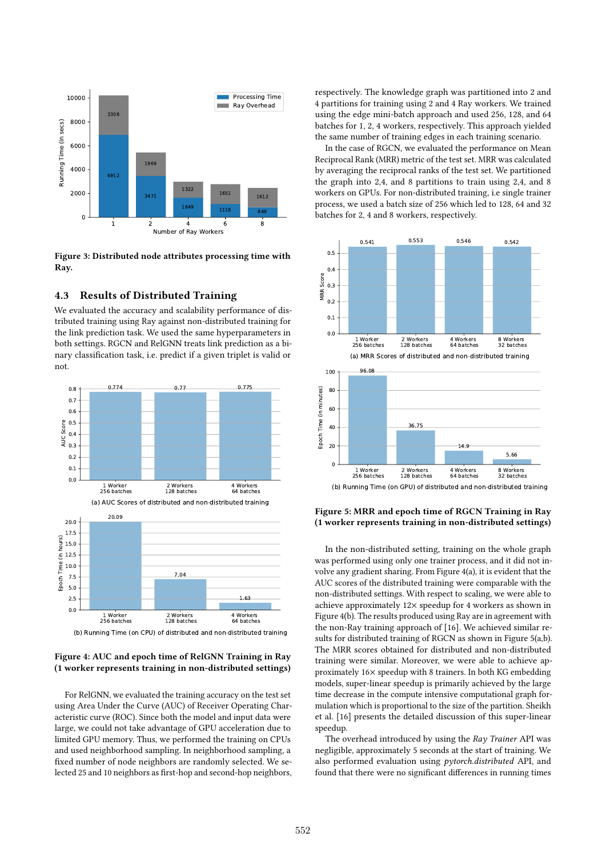

Figure 3: Distributed node attributes processing time with Ray.

## 4.3 Results of Distributed Training

We evaluated the accuracy and scalability performance of distributed training using Ray against non-distributed training for the link prediction task. We used the same hyperparameters in both settings. RGCN and RelGNN treats link prediction as a binary classification task, i.e. predict if a given triplet is valid or not.



#### Figure 4: AUC and epoch time of RelGNN Training in Ray (1 worker represents training in non-distributed settings)

For RelGNN, we evaluated the training accuracy on the test set using Area Under the Curve (AUC) of Receiver Operating Characteristic curve (ROC). Since both the model and input data were large, we could not take advantage of GPU acceleration due to limited GPU memory. Thus, we performed the training on CPUs and used neighborhood sampling. In neighborhood sampling, a fixed number of node neighbors are randomly selected. We selected 25 and 10 neighbors as first-hop and second-hop neighbors, respectively. The knowledge graph was partitioned into 2 and 4 partitions for training using 2 and 4 Ray workers. We trained using the edge mini-batch approach and used 256, 128, and 64 batches for 1, 2, 4 workers, respectively. This approach yielded the same number of training edges in each training scenario.

In the case of RGCN, we evaluated the performance on Mean Reciprocal Rank (MRR) metric of the test set. MRR was calculated by averaging the reciprocal ranks of the test set. We partitioned the graph into 2,4, and 8 partitions to train using 2,4, and 8 workers on GPUs. For non-distributed training, i.e single trainer process, we used a batch size of 256 which led to 128, 64 and 32 batches for 2, 4 and 8 workers, respectively.



#### (b) Running Time (on GPU) of distributed and non-distributed training

### Figure 5: MRR and epoch time of RGCN Training in Ray (1 worker represents training in non-distributed settings)

In the non-distributed setting, training on the whole graph was performed using only one trainer process, and it did not involve any gradient sharing. From Figure 4(a), it is evident that the AUC scores of the distributed training were comparable with the non-distributed settings. With respect to scaling, we were able to achieve approximately 12× speedup for 4 workers as shown in Figure 4(b). The results produced using Ray are in agreement with the non-Ray training approach of [16]. We achieved similar results for distributed training of RGCN as shown in Figure 5(a,b). The MRR scores obtained for distributed and non-distributed training were similar. Moreover, we were able to achieve approximately 16× speedup with 8 trainers. In both KG embedding models, super-linear speedup is primarily achieved by the large time decrease in the compute intensive computational graph formulation which is proportional to the size of the partition. Sheikh et al. [16] presents the detailed discussion of this super-linear speedup.

The overhead introduced by using the Ray Trainer API was negligible, approximately 5 seconds at the start of training. We also performed evaluation using pytorch.distributed API, and found that there were no significant differences in running times